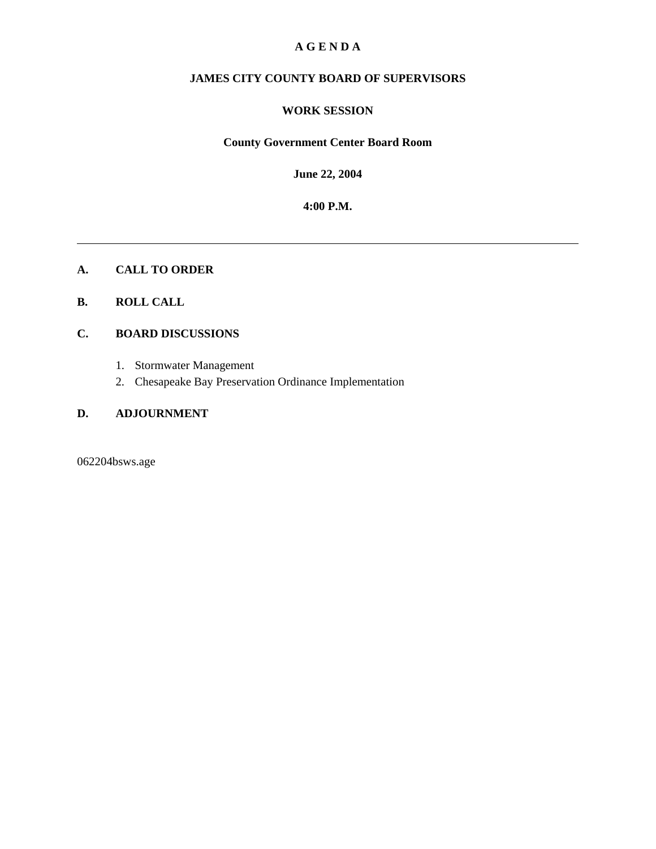#### **A G E N D A**

## **JAMES CITY COUNTY BOARD OF SUPERVISORS**

#### **WORK SESSION**

#### **County Government Center Board Room**

**June 22, 2004**

**4:00 P.M.**

#### **A. CALL TO ORDER**

#### **B. ROLL CALL**

#### **C. BOARD DISCUSSIONS**

- 1. Stormwater Management
- 2. Chesapeake Bay Preservation Ordinance Implementation

#### **D. ADJOURNMENT**

062204bsws.age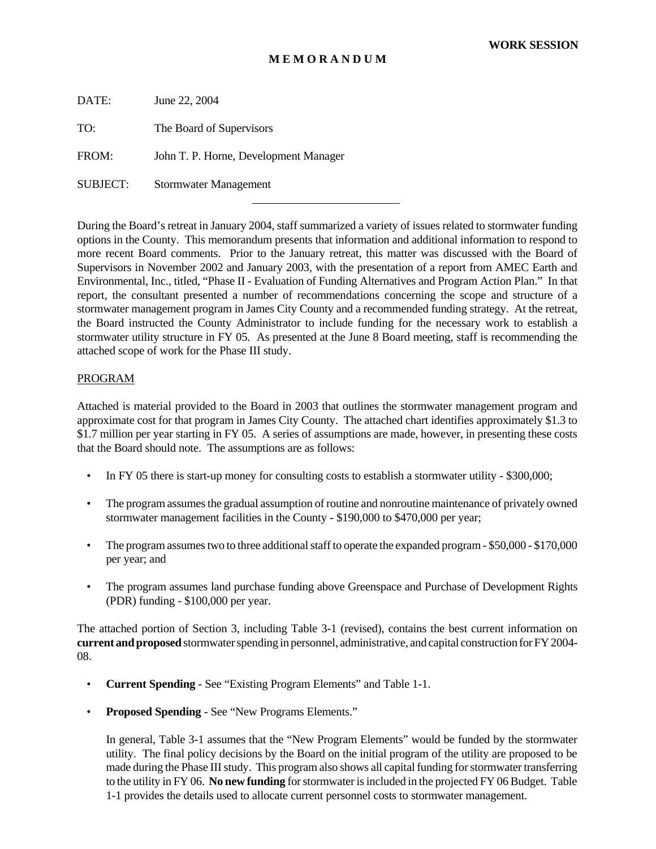#### **M E M O R A N D U M**

| DATE:           | June 22, 2004                         |
|-----------------|---------------------------------------|
| TO:             | The Board of Supervisors              |
| FROM:           | John T. P. Horne, Development Manager |
| <b>SUBJECT:</b> | Stormwater Management                 |
|                 |                                       |

During the Board's retreat in January 2004, staff summarized a variety of issues related to stormwater funding options in the County. This memorandum presents that information and additional information to respond to more recent Board comments. Prior to the January retreat, this matter was discussed with the Board of Supervisors in November 2002 and January 2003, with the presentation of a report from AMEC Earth and Environmental, Inc., titled, "Phase II - Evaluation of Funding Alternatives and Program Action Plan." In that report, the consultant presented a number of recommendations concerning the scope and structure of a stormwater management program in James City County and a recommended funding strategy. At the retreat, the Board instructed the County Administrator to include funding for the necessary work to establish a stormwater utility structure in FY 05. As presented at the June 8 Board meeting, staff is recommending the attached scope of work for the Phase III study.

#### PROGRAM

Attached is material provided to the Board in 2003 that outlines the stormwater management program and approximate cost for that program in James City County. The attached chart identifies approximately \$1.3 to \$1.7 million per year starting in FY 05. A series of assumptions are made, however, in presenting these costs that the Board should note. The assumptions are as follows:

- In FY 05 there is start-up money for consulting costs to establish a stormwater utility \$300,000;
- The program assumes the gradual assumption of routine and nonroutine maintenance of privately owned stormwater management facilities in the County - \$190,000 to \$470,000 per year;
- The program assumes two to three additional staff to operate the expanded program \$50,000 \$170,000 per year; and
- The program assumes land purchase funding above Greenspace and Purchase of Development Rights (PDR) funding - \$100,000 per year.

The attached portion of Section 3, including Table 3-1 (revised), contains the best current information on **current and proposed** stormwater spending in personnel, administrative, and capital construction for FY 2004- 08.

- **Current Spending**  See "Existing Program Elements" and Table 1-1.
- **Proposed Spending**  See "New Programs Elements."

In general, Table 3-1 assumes that the "New Program Elements" would be funded by the stormwater utility. The final policy decisions by the Board on the initial program of the utility are proposed to be made during the Phase III study. This program also shows all capital funding for stormwater transferring to the utility in FY 06. **No new funding** for stormwater is included in the projected FY 06 Budget. Table 1-1 provides the details used to allocate current personnel costs to stormwater management.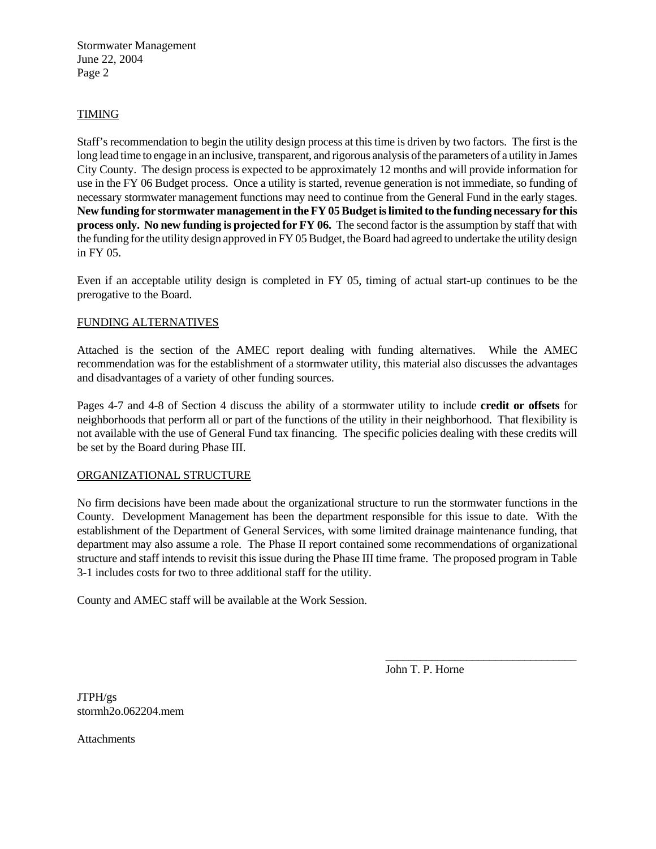Stormwater Management June 22, 2004 Page 2

#### TIMING

Staff's recommendation to begin the utility design process at this time is driven by two factors. The first is the long lead time to engage in an inclusive, transparent, and rigorous analysis of the parameters of a utility in James City County. The design process is expected to be approximately 12 months and will provide information for use in the FY 06 Budget process. Once a utility is started, revenue generation is not immediate, so funding of necessary stormwater management functions may need to continue from the General Fund in the early stages. **New funding for stormwater management in the FY 05 Budget is limited to the funding necessary for this process only. No new funding is projected for FY 06.** The second factor is the assumption by staff that with the funding for the utility design approved in FY 05 Budget, the Board had agreed to undertake the utility design in FY 05.

Even if an acceptable utility design is completed in FY 05, timing of actual start-up continues to be the prerogative to the Board.

#### FUNDING ALTERNATIVES

Attached is the section of the AMEC report dealing with funding alternatives. While the AMEC recommendation was for the establishment of a stormwater utility, this material also discusses the advantages and disadvantages of a variety of other funding sources.

Pages 4-7 and 4-8 of Section 4 discuss the ability of a stormwater utility to include **credit or offsets** for neighborhoods that perform all or part of the functions of the utility in their neighborhood. That flexibility is not available with the use of General Fund tax financing. The specific policies dealing with these credits will be set by the Board during Phase III.

#### ORGANIZATIONAL STRUCTURE

No firm decisions have been made about the organizational structure to run the stormwater functions in the County. Development Management has been the department responsible for this issue to date. With the establishment of the Department of General Services, with some limited drainage maintenance funding, that department may also assume a role. The Phase II report contained some recommendations of organizational structure and staff intends to revisit this issue during the Phase III time frame. The proposed program in Table 3-1 includes costs for two to three additional staff for the utility.

County and AMEC staff will be available at the Work Session.

John T. P. Horne

\_\_\_\_\_\_\_\_\_\_\_\_\_\_\_\_\_\_\_\_\_\_\_\_\_\_\_\_\_\_\_\_\_

JTPH/gs stormh2o.062204.mem

**Attachments**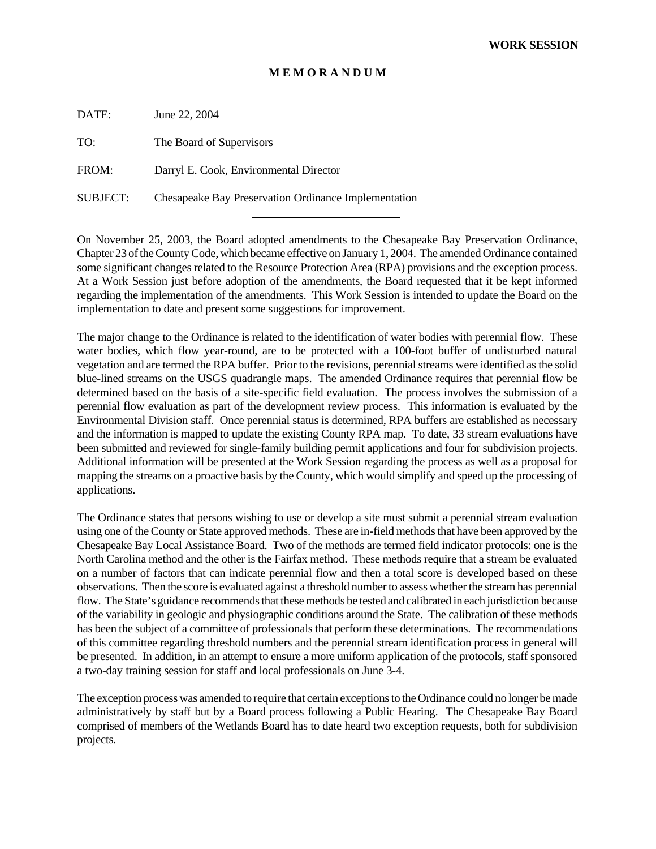#### **M E M O R A N D U M**

DATE: June 22, 2004

TO: The Board of Supervisors

FROM: Darryl E. Cook, Environmental Director

SUBJECT: Chesapeake Bay Preservation Ordinance Implementation 

On November 25, 2003, the Board adopted amendments to the Chesapeake Bay Preservation Ordinance, Chapter 23 of the County Code, which became effective on January 1, 2004. The amended Ordinance contained some significant changes related to the Resource Protection Area (RPA) provisions and the exception process. At a Work Session just before adoption of the amendments, the Board requested that it be kept informed regarding the implementation of the amendments. This Work Session is intended to update the Board on the implementation to date and present some suggestions for improvement.

The major change to the Ordinance is related to the identification of water bodies with perennial flow. These water bodies, which flow year-round, are to be protected with a 100-foot buffer of undisturbed natural vegetation and are termed the RPA buffer. Prior to the revisions, perennial streams were identified as the solid blue-lined streams on the USGS quadrangle maps. The amended Ordinance requires that perennial flow be determined based on the basis of a site-specific field evaluation. The process involves the submission of a perennial flow evaluation as part of the development review process. This information is evaluated by the Environmental Division staff. Once perennial status is determined, RPA buffers are established as necessary and the information is mapped to update the existing County RPA map. To date, 33 stream evaluations have been submitted and reviewed for single-family building permit applications and four for subdivision projects. Additional information will be presented at the Work Session regarding the process as well as a proposal for mapping the streams on a proactive basis by the County, which would simplify and speed up the processing of applications.

The Ordinance states that persons wishing to use or develop a site must submit a perennial stream evaluation using one of the County or State approved methods. These are in-field methods that have been approved by the Chesapeake Bay Local Assistance Board. Two of the methods are termed field indicator protocols: one is the North Carolina method and the other is the Fairfax method. These methods require that a stream be evaluated on a number of factors that can indicate perennial flow and then a total score is developed based on these observations. Then the score is evaluated against a threshold number to assess whether the stream has perennial flow. The State's guidance recommends that these methods be tested and calibrated in each jurisdiction because of the variability in geologic and physiographic conditions around the State. The calibration of these methods has been the subject of a committee of professionals that perform these determinations. The recommendations of this committee regarding threshold numbers and the perennial stream identification process in general will be presented. In addition, in an attempt to ensure a more uniform application of the protocols, staff sponsored a two-day training session for staff and local professionals on June 3-4.

The exception process was amended to require that certain exceptions to the Ordinance could no longer be made administratively by staff but by a Board process following a Public Hearing. The Chesapeake Bay Board comprised of members of the Wetlands Board has to date heard two exception requests, both for subdivision projects.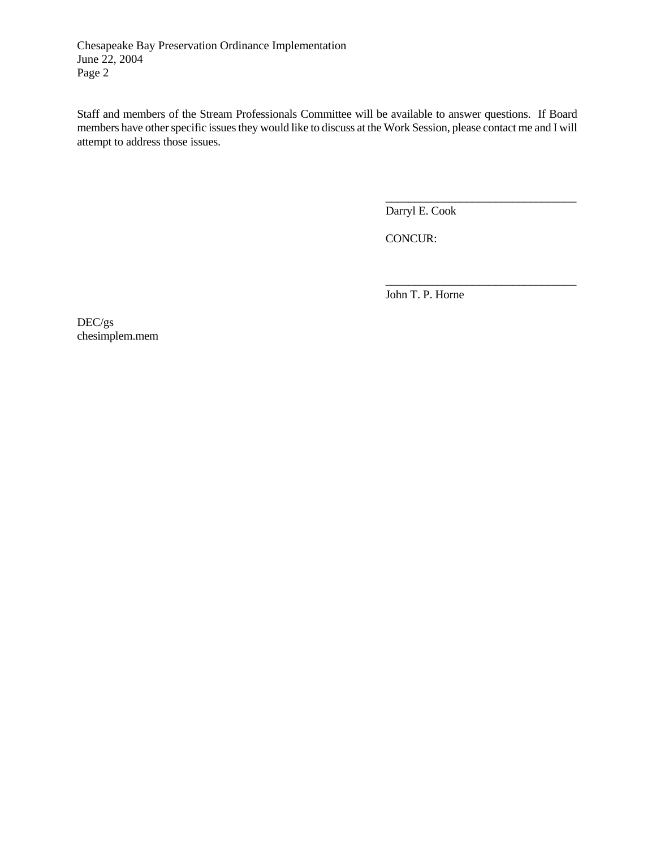Chesapeake Bay Preservation Ordinance Implementation June 22, 2004 Page 2

Staff and members of the Stream Professionals Committee will be available to answer questions. If Board members have other specific issues they would like to discuss at the Work Session, please contact me and I will attempt to address those issues.

Darryl E. Cook

\_\_\_\_\_\_\_\_\_\_\_\_\_\_\_\_\_\_\_\_\_\_\_\_\_\_\_\_\_\_\_\_\_

\_\_\_\_\_\_\_\_\_\_\_\_\_\_\_\_\_\_\_\_\_\_\_\_\_\_\_\_\_\_\_\_\_

CONCUR:

John T. P. Horne

DEC/gs chesimplem.mem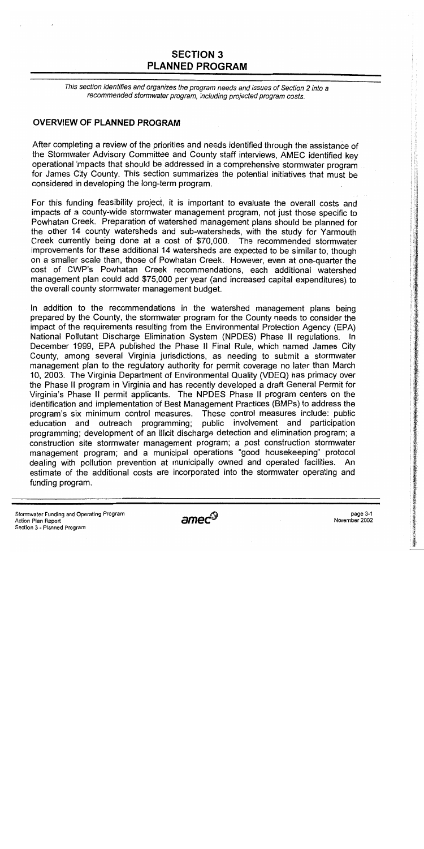# **SECTION 3 PLANNED PROGRAM**

This section identifies and organizes the program needs and issues of Section 2 into a recommended stormwater program, including projected program costs.

# **OVERVIEW OF PLANNED PROGRAM**

After completing a review of the priorities and needs identified through the assistance of the Stormwater Advisory Committee and County staff interviews, AMEC identified key operational impacts that should be addressed in a comprehensive stormwater program for James City County. This section summarizes the potential initiatives that must be considered in developing the long-term program.

For this funding feasibility project, it is important to evaluate the overall costs and impacts of a county-wide stormwater management program, not just those specific to Powhatan Creek. Preparation of watershed management plans should be planned for the other 14 county watersheds and sub-watersheds, with the study for Yarmouth Creek currently being done at a cost of \$70,000. The recommended stormwater improvements for these additional 14 watersheds are expected to be similar to though on a smaller scale than, those of Powhatan Creek. However, even at one-quarter the cost of CWP's Powhatan Creek recommendations, each additional watershed management plan could add \$75,000 per year (and increased capital expenditures) to the overall county stormwater management budget.

In addition to the recommendations in the watershed management plans being prepared by the County, the stormwater program for the County needs to consider the impact of the requirements resulting from the Environmental Protection Agency (EPA) National Pollutant Discharge Elimination System (NPDES) Phase II regulations. In December 1999, EPA published the Phase II Final Rule, which named James City County, among several Virginia jurisdictions, as needing to submit a stormwater management plan to the regulatory authority for permit coverage no later than March 10, 2003. The Virginia Department of Environmental Quality (VDEQ) has primacy over the Phase II program in Virginia and has recently developed a draft General Permit for Virginia's Phase II permit applicants. The NPDES Phase II program centers on the identification and implementation of Best Management Practices (BMPs) to address the program's six minimum control measures. These control measures include: public education and outreach programming; public involvement and participation programming; development of an illicit discharge detection and elimination program; a construction site stormwater management program; a post construction stormwater management program: and a municipal operations "good housekeeping" protocol dealing with pollution prevention at municipally owned and operated facilities. An estimate of the additional costs are incorporated into the stormwater operating and funding program.

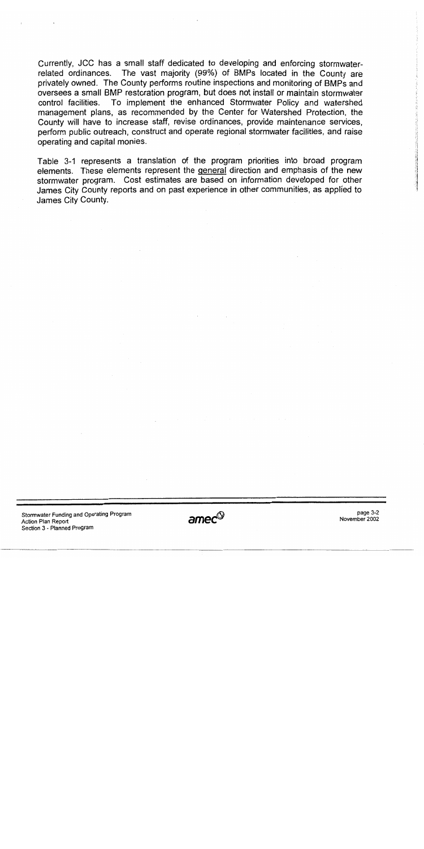Currently. JCC has a small staff dedicated to developing and enforcing stormwaterrelated ordinances. The vast majority (99%) of BMPs located in the County are privately owned. The County performs routine inspections and monitoring of BMPs and oversees a small BMP restoration program, but does not install or maintain stormwater control facilities. To implement the enhanced Stormwater Policy and watershed management plans, as recommended by the Center for Watershed Protection, the County will have to increase staff, revise ordinances, provide maintenance services. perform public outreach, construct and operate regional stormwater facilities, and raise operating and capital monies.

Table 3-1 represents a translation of the program priorities into broad program elements. These elements represent the general direction and emphasis of the new stormwater program. Cost estimates are based on information developed for other James City County reports and on past experience in other communities, as applied to James City County.

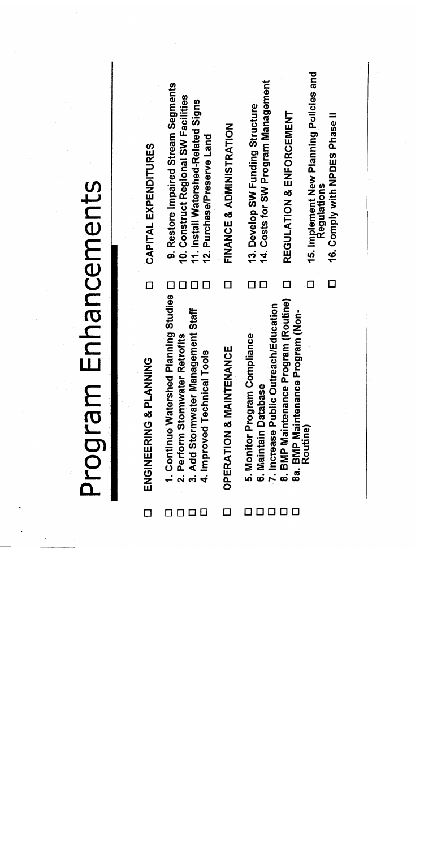| Enhancements | CAPITAL EXPENDITURES   | 9. Restore Impaired Stream Segments<br>10. Construct Regional SW Facilities<br>11. Install Watershed-Related Signs<br>12. Purchase/Preserve Land   | FINANCE & ADMINISTRATION | 14. Costs for SW Program Management<br>13. Develop SW Funding Structure                                | REGULATION & ENFORCEMENT                | 15. Implement New Planning Policies and<br>Regulations | 16. Comply with NPDES Phase II |
|--------------|------------------------|----------------------------------------------------------------------------------------------------------------------------------------------------|--------------------------|--------------------------------------------------------------------------------------------------------|-----------------------------------------|--------------------------------------------------------|--------------------------------|
|              |                        | П                                                                                                                                                  |                          |                                                                                                        | □                                       | П                                                      |                                |
| Program      | ENGINEERING & PLANNING | 1. Continue Watershed Planning Studies<br>3. Add Stormwater Management Staff<br>2. Perform Stormwater Retrofits<br>l Tools<br>4. Improved Technica | OPERATION & MAINTENANCE  | treach/Education<br>ompliance<br>5. Monitor Program C<br>6. Maintain Database<br>7. Increase Public Ou | Program (Routine)<br>8. BMP Maintenance | 8a. BMP Maintenance Program (Non-<br>Routine)          |                                |
|              |                        |                                                                                                                                                    |                          |                                                                                                        |                                         |                                                        |                                |

 $\mathbf{I}$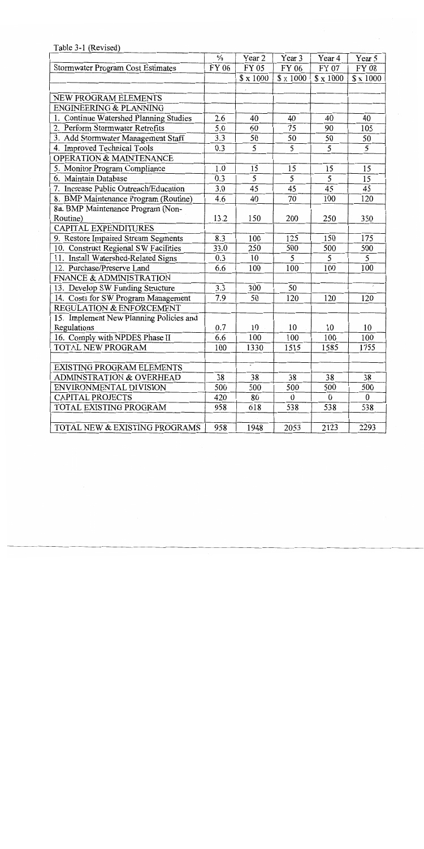Table 3-1 (Revised)

|                                         | $\frac{0}{0}$ | Year <sub>2</sub> | Year 3          | Year 4          | Year 5          |
|-----------------------------------------|---------------|-------------------|-----------------|-----------------|-----------------|
| Stormwater Program Cost Estimates       | FY 06         | FY 05             | FY 06           | FY 07           | FY 08           |
|                                         |               | x1000             | x1000           | $$ \times 1000$ | $$ \times 1000$ |
|                                         |               |                   |                 |                 |                 |
| NEW PROGRAM ELEMENTS                    |               |                   |                 |                 |                 |
| ENGINEERING & PLANNING                  |               |                   |                 |                 |                 |
| 1. Continue Watershed Planning Studies  | 2.6           | 40                | 40              | 40              | 40              |
| 2. Perform Stormwater Retrofits         | 5.0           | 60                | 75              | 90              | 105             |
| 3. Add Stormwater Management Staff      | 3.3           | 50                | 50              | 50              | 50              |
| 4. Improved Technical Tools             | 0.3           | 5                 | 5               | 5               | 5               |
| <b>OPERATION &amp; MAINTENANCE</b>      |               |                   |                 |                 |                 |
| 5. Monitor Program Compliance           | 1.0           | 15                | 15              | 15              | 15              |
| 6. Maintain Database                    | 0.3           | $\overline{5}$    | 5               | 5               | 15              |
| 7. Increase Public Outreach/Education   | 3.0           | 45                | $\overline{45}$ | 45              | 45              |
| 8. BMP Maintenance Program (Routine)    | 4.6           | 40                | 70              | 100             | 120             |
| 8a. BMP Maintenance Program (Non-       |               |                   |                 |                 |                 |
| Routine)                                | 13.2          | 150               | 200             | 250             | 350             |
| <b>CAPITAL EXPENDITURES</b>             |               |                   |                 |                 |                 |
| 9. Restore Impaired Stream Segments     | 8.3           | 100               | 125             | 150             | 175             |
| 10. Construct Regional SW Facilities    | 33.0          | 250               | 500             | 500             | 500             |
| 11. Install Watershed-Related Signs     | 0.3           | 10                | 5               | 5               | 5               |
| 12. Purchase/Preserve Land              | 6.6           | 100               | 100             | 100             | 100             |
| <b>FNANCE &amp; ADMINISTRATION</b>      |               |                   |                 |                 |                 |
| 13. Develop SW Funding Structure        | 3.3           | 300               | 50              |                 |                 |
| 14. Costs for SW Program Management     | 7.9           | 50                | 120             | 120             | 120             |
| <b>REGULATION &amp; ENFORCEMENT</b>     |               |                   |                 |                 |                 |
| 15. Implement New Planning Policies and |               |                   |                 |                 |                 |
| Regulations                             | 0.7           | 10                | 10              | 10              | 10              |
| 16. Comply with NPDES Phase II          | 6.6           | 100               | 100             | 100             | 100             |
| TOTAL NEW PROGRAM                       | 100           | 1330              | 1515            | 1585            | 1755            |
|                                         |               |                   |                 |                 |                 |
| EXISTING PROGRAM ELEMENTS               |               |                   |                 |                 |                 |
| <b>ADMINSTRATION &amp; OVERHEAD</b>     | 38            | 38                | 38              | 38              | 38              |
| ENVIRONMENTAL DIVISION                  | 500           | 500               | 500             | 500             | 500             |
| <b>CAPITAL PROJECTS</b>                 | 420           | 80                | $\mathbf{0}$    | $\Omega$        | $\bf{0}$        |
| TOTAL EXISTING PROGRAM                  | 958           | 618               | 538             | 538             | 538             |
|                                         |               |                   |                 |                 |                 |
| TOTAL NEW & EXISTING PROGRAMS           | 958           | 1948              | 2053            | 2123            | 2293            |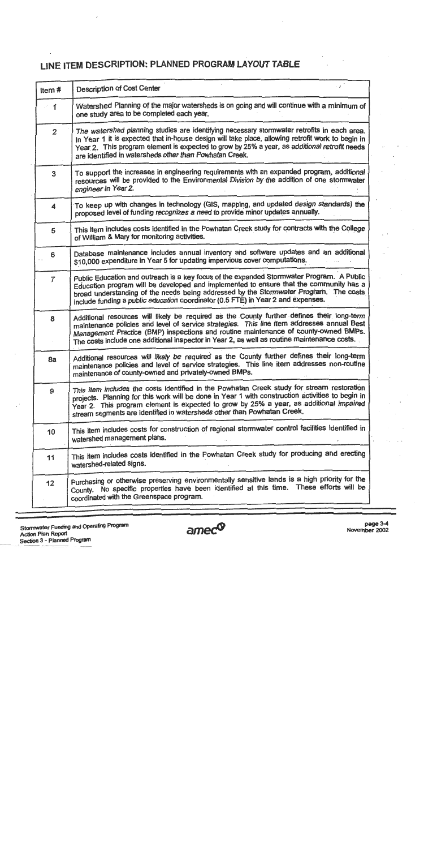# LINE ITEM DESCRIPTION: PLANNED PROGRAM LAYOUT TABLE

| Item#                   | <b>Description of Cost Center</b>                                                                                                                                                                                                                                                                                                                                              |
|-------------------------|--------------------------------------------------------------------------------------------------------------------------------------------------------------------------------------------------------------------------------------------------------------------------------------------------------------------------------------------------------------------------------|
| $\mathbf 1$             | Watershed Planning of the major watersheds is on going and will continue with a minimum of<br>one study area to be completed each year.                                                                                                                                                                                                                                        |
| $\overline{2}$          | The watershed planning studies are identifying necessary stormwater retrofits in each area.<br>In Year 1 it is expected that in-house design will take place, allowing retrofit work to begin in<br>Year 2. This program element is expected to grow by 25% a year, as additional retrofit needs<br>are identified in watersheds other than Powhatan Creek.                    |
| $\overline{\mathbf{3}}$ | To support the increases in engineering requirements with an expanded program, additional<br>resources will be provided to the Environmental Division by the addition of one stormwater<br>engineer in Year 2.                                                                                                                                                                 |
| 4                       | To keep up with changes in technology (GIS, mapping, and updated design standards) the<br>proposed level of funding recognizes a need to provide minor updates annually.                                                                                                                                                                                                       |
| 5                       | This item includes costs identified in the Powhatan Creek study for contracts with the College<br>of William & Mary for monitoring activities.                                                                                                                                                                                                                                 |
| 6                       | Database maintenance includes annual inventory and software updates and an additional<br>\$10,000 expenditure in Year 5 for updating impervious cover computations.                                                                                                                                                                                                            |
| $\overline{7}$          | Public Education and outreach is a key focus of the expanded Stormwater Program. A Public<br>Education program will be developed and implemented to ensure that the community has a<br>broad understanding of the needs being addressed by the Stormwater Program. The costs<br>include funding a public education coordinator (0.5 FTE) in Year 2 and expenses.               |
| 8                       | Additional resources will likely be required as the County further defines their long-term<br>maintenance policies and level of service strategies. This line item addresses annual Best<br>Management Practice (BMP) inspections and routine maintenance of county-owned BMPs.<br>The costs include one additional inspector in Year 2, as well as routine maintenance costs. |
| 8a                      | Additional resources will likely be required as the County further defines their long-term<br>maintenance policies and level of service strategies. This line item addresses non-routine<br>maintenance of county-owned and privately-owned BMPs.                                                                                                                              |
| 9                       | This item includes the costs identified in the Powhatan Creek study for stream restoration<br>projects. Planning for this work will be done in Year 1 with construction activities to begin in<br>Year 2. This program element is expected to grow by 25% a year, as additional impaired<br>stream segments are identified in watersheds other than Powhatan Creek.            |
| 10                      | This item includes costs for construction of regional stormwater control facilities identified in<br>watershed management plans.                                                                                                                                                                                                                                               |
| 11                      | This item includes costs identified in the Powhatan Creek study for producing and erecting<br>watershed-related signs.                                                                                                                                                                                                                                                         |
| 12                      | Purchasing or otherwise preserving environmentally sensitive lands is a high priority for the<br>County. No specific properties have been identified at this time. These efforts will be<br>coordinated with the Greenspace program.                                                                                                                                           |

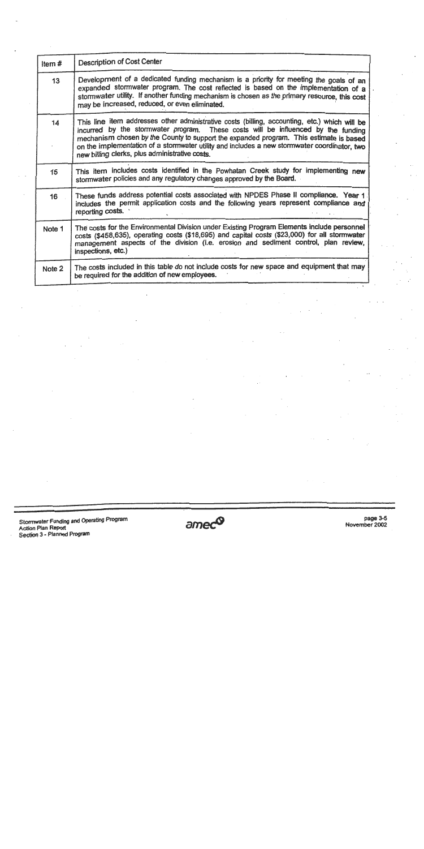| Item#  | <b>Description of Cost Center</b>                                                                                                                                                                                                                                                                                                                                                                                              |
|--------|--------------------------------------------------------------------------------------------------------------------------------------------------------------------------------------------------------------------------------------------------------------------------------------------------------------------------------------------------------------------------------------------------------------------------------|
| 13     | Development of a dedicated funding mechanism is a priority for meeting the goals of an<br>expanded stormwater program. The cost reflected is based on the implementation of a<br>stormwater utility. If another funding mechanism is chosen as the primary resource, this cost<br>may be increased, reduced, or even eliminated.                                                                                               |
| 14     | This line item addresses other administrative costs (billing, accounting, etc.) which will be<br>incurred by the stormwater program. These costs will be influenced by the funding<br>mechanism chosen by the County to support the expanded program. This estimate is based<br>on the implementation of a stormwater utility and includes a new stormwater coordinator, two<br>new billing clerks, plus administrative costs. |
| 15     | This item includes costs identified in the Powhatan Creek study for implementing new<br>stormwater policies and any regulatory changes approved by the Board.                                                                                                                                                                                                                                                                  |
| 16     | These funds address potential costs associated with NPDES Phase II compliance. Year 1<br>includes the permit application costs and the following years represent compliance and<br>reporting costs.                                                                                                                                                                                                                            |
| Note 1 | The costs for the Environmental Division under Existing Program Elements include personnel<br>costs (\$458,635), operating costs (\$18,695) and capital costs (\$23,000) for all stormwater<br>management aspects of the division (i.e. erosion and sediment control, plan review.<br>inspections, etc.)                                                                                                                       |
| Note 2 | The costs included in this table do not include costs for new space and equipment that may<br>be required for the addition of new employees.                                                                                                                                                                                                                                                                                   |

 $\ddot{\phantom{0}}$ 

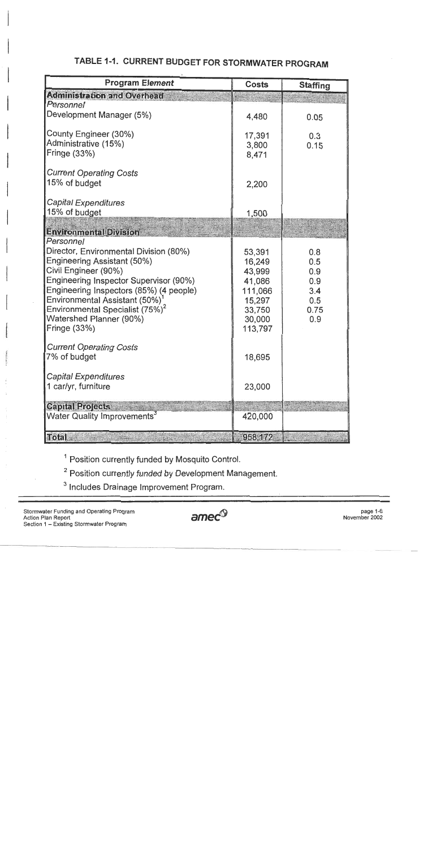# TABLE 1-1. CURRENT BUDGET FOR STORMWATER PROGRAM

| <b>Program Element</b>                                                                                                                                                                                                                                                                                                            | <b>Costs</b>                                                                             | <b>Staffing</b>                                       |
|-----------------------------------------------------------------------------------------------------------------------------------------------------------------------------------------------------------------------------------------------------------------------------------------------------------------------------------|------------------------------------------------------------------------------------------|-------------------------------------------------------|
| <b>Administration and Overhead</b>                                                                                                                                                                                                                                                                                                |                                                                                          |                                                       |
| Personnel<br>Development Manager (5%)                                                                                                                                                                                                                                                                                             | 4,480                                                                                    | 0.05                                                  |
| County Engineer (30%)<br>Administrative (15%)<br>Fringe (33%)                                                                                                                                                                                                                                                                     | 17,391<br>3,800<br>8,471                                                                 | 0.3<br>0.15                                           |
| <b>Current Operating Costs</b><br>15% of budget                                                                                                                                                                                                                                                                                   | 2,200                                                                                    |                                                       |
| Capital Expenditures<br>15% of budget                                                                                                                                                                                                                                                                                             | 1,500                                                                                    |                                                       |
| <b>Environmental Division</b><br>Personnel                                                                                                                                                                                                                                                                                        |                                                                                          |                                                       |
| Director, Environmental Division (80%)<br>Engineering Assistant (50%)<br>Civil Engineer (90%)<br>Engineering Inspector Supervisor (90%)<br>Engineering Inspectors (85%) (4 people)<br>Environmental Assistant (50%) <sup>1</sup><br>Environmental Specialist (75%) <sup>2</sup><br>Watershed Planner (90%)<br><b>Fringe (33%)</b> | 53,391<br>16,249<br>43,999<br>41,086<br>111,066<br>15,297<br>33,750<br>30,000<br>113,797 | 0.8<br>0.5<br>0.9<br>0.9<br>3.4<br>0.5<br>0.75<br>0.9 |
| <b>Current Operating Costs</b><br>7% of budget                                                                                                                                                                                                                                                                                    | 18,695                                                                                   |                                                       |
| Capital Expenditures<br>1 car/yr, furniture                                                                                                                                                                                                                                                                                       | 23,000                                                                                   |                                                       |
| <b>Capital Projects</b><br>Water Quality Improvements <sup>3</sup>                                                                                                                                                                                                                                                                | 420,000                                                                                  |                                                       |
| <b>Total</b>                                                                                                                                                                                                                                                                                                                      | 958,172                                                                                  |                                                       |

<sup>1</sup> Position currently funded by Mosquito Control.

<sup>2</sup> Position currently funded by Development Management.

<sup>3</sup> Includes Drainage Improvement Program.

Stormwater Funding and Operating Program Action Plan Report Section 1 - Existing Stormwater Program

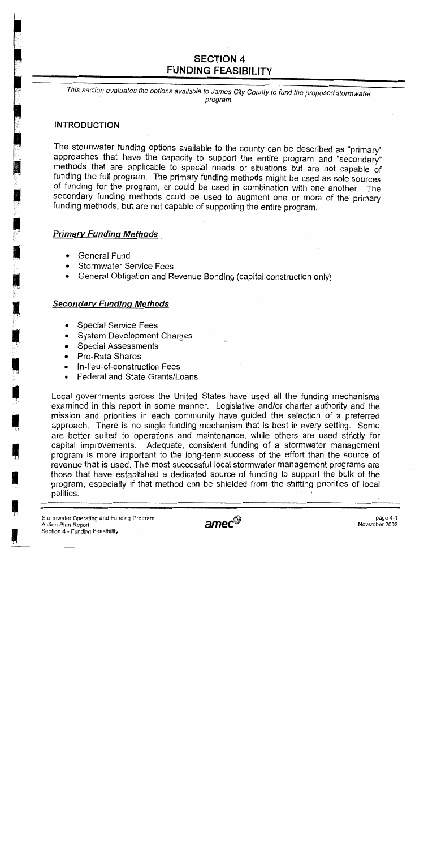# **SECTION 4 FUNDING FEASIBILITY**

This section evaluates the options available to James City County to fund the proposed stormwater program.

#### **INTRODUCTION**

The stormwater funding options available to the county can be described as "primary" approaches that have the capacity to support the entire program and "secondary" methods that are applicable to special needs or situations but are not capable of funding the full program. The primary funding methods might be used as sole sources of funding for the program, or could be used in combination with one another. The secondary funding methods could be used to augment one or more of the primary funding methods, but are not capable of supporting the entire program.

#### **Primary Funding Methods**

General Fund

- **Stormwater Service Fees**
- General Obligation and Revenue Bonding (capital construction only)

## **Secondary Funding Methods**

- **Special Service Fees**
- System Development Charges
- Special Assessments
- Pro-Rata Shares
- In-lieu-of-construction Fees
- Federal and State Grants/Loans  $\bullet$

Local governments across the United States have used all the funding mechanisms examined in this report in some manner. Legislative and/or charter authority and the mission and priorities in each community have quided the selection of a preferred approach. There is no single funding mechanism that is best in every setting. Some are better suited to operations and maintenance, while others are used strictly for capital improvements. Adequate, consistent funding of a stormwater management program is more important to the long-term success of the effort than the source of revenue that is used. The most successful local stormwater management programs are those that have established a dedicated source of funding to support the bulk of the program, especially if that method can be shielded from the shifting priorities of local politics.

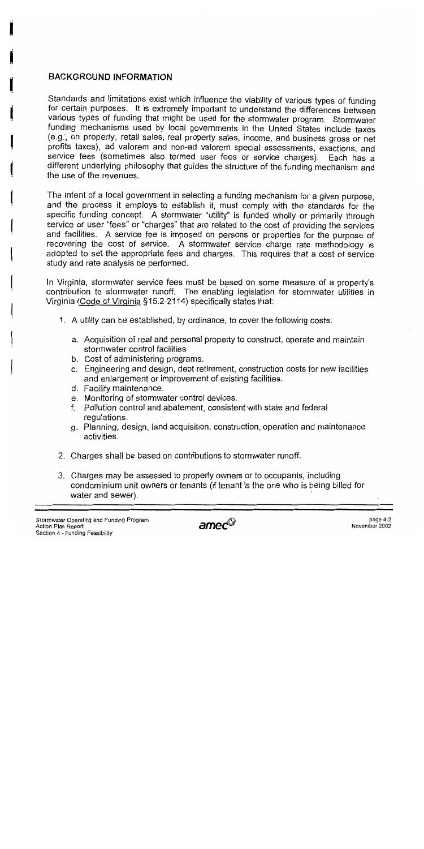# **BACKGROUND INFORMATION**

Standards and limitations exist which influence the viability of various types of funding for certain purposes. It is extremely important to understand the differences between various types of funding that might be used for the stormwater program. Stormwater funding mechanisms used by local governments in the United States include taxes (e.g., on property, retail sales, real property sales, income, and business gross or net profits taxes), ad valorem and non-ad valorem special assessments, exactions, and service fees (sometimes also termed user fees or service charges). Each has a different underlying philosophy that guides the structure of the funding mechanism and the use of the revenues.

The intent of a local government in selecting a funding mechanism for a given purpose, and the process it employs to establish it, must comply with the standards for the specific funding concept. A stormwater "utility" is funded wholly or primarily through service or user "fees" or "charges" that are related to the cost of providing the services and facilities. A service fee is imposed on persons or properties for the purpose of recovering the cost of service. A stormwater service charge rate methodology is adopted to set the appropriate fees and charges. This requires that a cost of service study and rate analysis be performed.

In Virginia, stormwater service fees must be based on some measure of a property's contribution to stormwater runoff. The enabling legislation for stormwater utilities in Virginia (Code of Virginia §15.2-2114) specifically states that:

- 1. A utility can be established, by ordinance, to cover the following costs:
	- a. Acquisition of real and personal property to construct, operate and maintain stormwater control facilities
	- b. Cost of administering programs.
	- c. Engineering and design, debt retirement, construction costs for new facilities and enlargement or improvement of existing facilities.
	- d. Facility maintenance.
	- e. Monitoring of stormwater control devices.
	- f. Pollution control and abatement, consistent with state and federal regulations.
	- g. Planning, design, land acquisition, construction, operation and maintenance activities.
- 2. Charges shall be based on contributions to stormwater runoff.
- 3. Charges may be assessed to property owners or to occupants, including condominium unit owners or tenants (if tenant is the one who is being billed for water and sewer).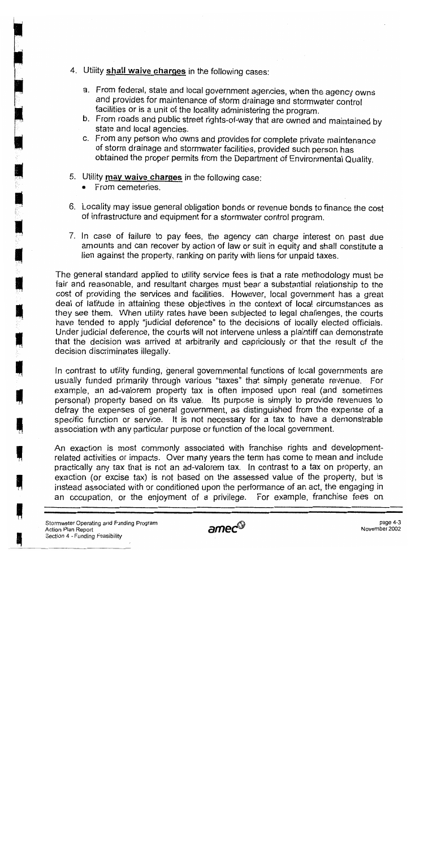- 4. Utility shall waive charges in the following cases:
	- a. From federal, state and local government agencies, when the agency owns and provides for maintenance of storm drainage and stormwater control facilities or is a unit of the locality administering the program.
	- b. From roads and public street rights-of-way that are owned and maintained by state and local agencies.
	- c. From any person who owns and provides for complete private maintenance of storm drainage and stormwater facilities, provided such person has obtained the proper permits from the Department of Environmental Quality.
- 5. Utility may waive charges in the following case:
	- From cemeteries.
- 6. Locality may issue general obligation bonds or revenue bonds to finance the cost of infrastructure and equipment for a stormwater control program.
- 7. In case of failure to pay fees, the agency can charge interest on past due amounts and can recover by action of law or suit in equity and shall constitute a lien against the property, ranking on parity with liens for unpaid taxes.

The general standard applied to utility service fees is that a rate methodology must be fair and reasonable, and resultant charges must bear a substantial relationship to the cost of providing the services and facilities. However, local government has a great deal of latitude in attaining these objectives in the context of local circumstances as they see them. When utility rates have been subjected to legal challenges, the courts have tended to apply "judicial deference" to the decisions of locally elected officials. Under judicial deference, the courts will not intervene unless a plaintiff can demonstrate that the decision was arrived at arbitrarily and capriciously or that the result of the decision discriminates illegally.

In contrast to utility funding, general governmental functions of local governments are usually funded primarily through various "taxes" that simply generate revenue. For example, an ad-valorem property tax is often imposed upon real (and sometimes personal) property based on its value. Its purpose is simply to provide revenues to defray the expenses of general government, as distinguished from the expense of a specific function or service. It is not necessary for a tax to have a demonstrable association with any particular purpose or function of the local government.

An exaction is most commonly associated with franchise rights and developmentrelated activities or impacts. Over many years the term has come to mean and include practically any tax that is not an ad-valorem tax. In contrast to a tax on property, an exaction (or excise tax) is not based on the assessed value of the property, but is instead associated with or conditioned upon the performance of an act, the engaging in an occupation, or the enjoyment of a privilege. For example, franchise fees on

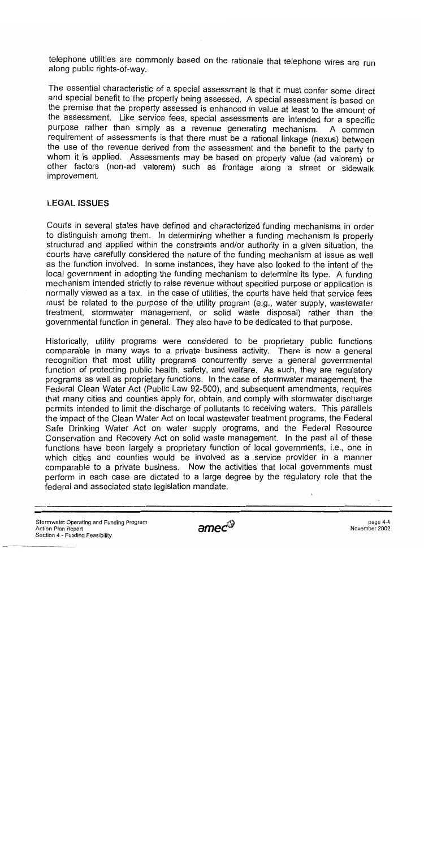telephone utilities are commonly based on the rationale that telephone wires are run along public rights-of-way.

The essential characteristic of a special assessment is that it must confer some direct and special benefit to the property being assessed. A special assessment is based on the premise that the property assessed is enhanced in value at least to the amount of the assessment. Like service fees, special assessments are intended for a specific purpose rather than simply as a revenue generating mechanism. A common requirement of assessments is that there must be a rational linkage (nexus) between the use of the revenue derived from the assessment and the benefit to the party to whom it is applied. Assessments may be based on property value (ad valorem) or other factors (non-ad valorem) such as frontage along a street or sidewalk improvement.

## **LEGAL ISSUES**

Courts in several states have defined and characterized funding mechanisms in order to distinguish among them. In determining whether a funding mechanism is properly structured and applied within the constraints and/or authority in a given situation, the courts have carefully considered the nature of the funding mechanism at issue as well as the function involved. In some instances, they have also looked to the intent of the local government in adopting the funding mechanism to determine its type. A funding mechanism intended strictly to raise revenue without specified purpose or application is normally viewed as a tax. In the case of utilities, the courts have held that service fees must be related to the purpose of the utility program (e.g., water supply, wastewater treatment, stormwater management, or solid waste disposal) rather than the governmental function in general. They also have to be dedicated to that purpose.

Historically, utility programs were considered to be proprietary public functions comparable in many ways to a private business activity. There is now a general recognition that most utility programs concurrently serve a general governmental function of protecting public health, safety, and welfare. As such, they are regulatory programs as well as proprietary functions. In the case of stormwater management, the Federal Clean Water Act (Public Law 92-500), and subsequent amendments, requires that many cities and counties apply for, obtain, and comply with stormwater discharge permits intended to limit the discharge of pollutants to receiving waters. This parallels the impact of the Clean Water Act on local wastewater treatment programs, the Federal Safe Drinking Water Act on water supply programs, and the Federal Resource Conservation and Recovery Act on solid waste management. In the past all of these functions have been largely a proprietary function of local governments, i.e., one in which cities and counties would be involved as a service provider in a manner comparable to a private business. Now the activities that local governments must perform in each case are dictated to a large degree by the regulatory role that the federal and associated state legislation mandate.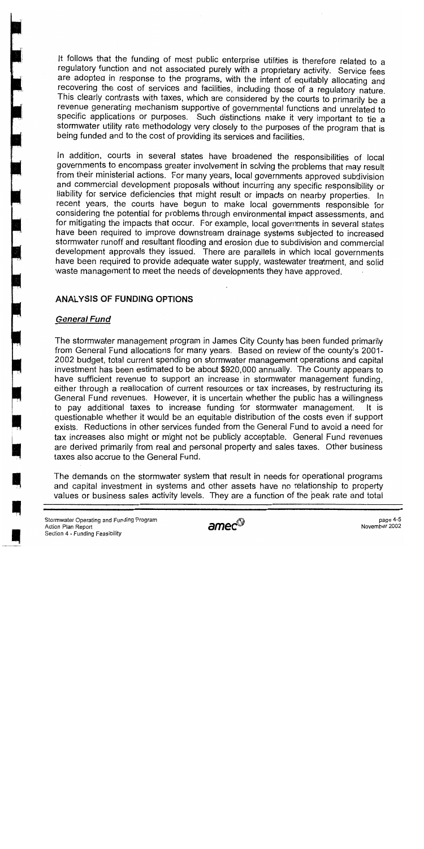It follows that the funding of most public enterprise utilities is therefore related to a regulatory function and not associated purely with a proprietary activity. Service fees are adopted in response to the programs, with the intent of equitably allocating and recovering the cost of services and facilities, including those of a regulatory nature. This clearly contrasts with taxes, which are considered by the courts to primarily be a revenue generating mechanism supportive of governmental functions and unrelated to specific applications or purposes. Such distinctions make it very important to tie a stormwater utility rate methodology very closely to the purposes of the program that is being funded and to the cost of providing its services and facilities.

In addition, courts in several states have broadened the responsibilities of local governments to encompass greater involvement in solving the problems that may result from their ministerial actions. For many years, local governments approved subdivision and commercial development proposals without incurring any specific responsibility or liability for service deficiencies that might result or impacts on nearby properties. In recent years, the courts have begun to make local governments responsible for considering the potential for problems through environmental impact assessments, and for mitigating the impacts that occur. For example, local governments in several states have been required to improve downstream drainage systems subjected to increased stormwater runoff and resultant flooding and erosion due to subdivision and commercial development approvals they issued. There are parallels in which local governments have been required to provide adequate water supply, wastewater treatment, and solid waste management to meet the needs of developments they have approved.

# **ANALYSIS OF FUNDING OPTIONS**

## **General Fund**

The stormwater management program in James City County has been funded primarily from General Fund allocations for many years. Based on review of the county's 2001-2002 budget, total current spending on stormwater management operations and capital investment has been estimated to be about \$920,000 annually. The County appears to have sufficient revenue to support an increase in stormwater management funding. either through a reallocation of current resources or tax increases, by restructuring its General Fund revenues. However, it is uncertain whether the public has a willingness to pay additional taxes to increase funding for stormwater management. It is questionable whether it would be an equitable distribution of the costs even if support exists. Reductions in other services funded from the General Fund to avoid a need for tax increases also might or might not be publicly acceptable. General Fund revenues are derived primarily from real and personal property and sales taxes. Other business taxes also accrue to the General Fund.

The demands on the stormwater system that result in needs for operational programs and capital investment in systems and other assets have no relationship to property values or business sales activity levels. They are a function of the peak rate and total

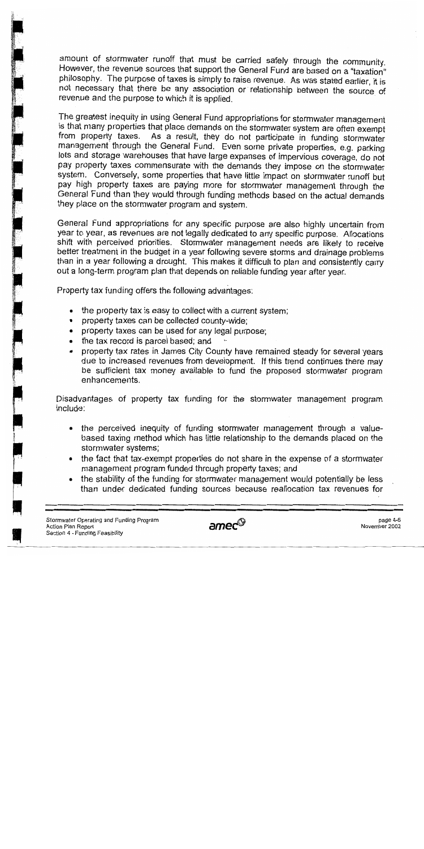amount of stormwater runoff that must be carried safely through the community. However, the revenue sources that support the General Fund are based on a "taxation" philosophy. The purpose of taxes is simply to raise revenue. As was stated earlier, it is not necessary that there be any association or relationship between the source of revenue and the purpose to which it is applied.

The greatest inequity in using General Fund appropriations for stormwater management is that many properties that place demands on the stormwater system are often exempt from property taxes. As a result, they do not participate in funding stormwater management through the General Fund. Even some private properties, e.g. parking lots and storage warehouses that have large expanses of impervious coverage, do not pay property taxes commensurate with the demands they impose on the stormwater system. Conversely, some properties that have little impact on stormwater runoff but pay high property taxes are paying more for stormwater management through the General Fund than they would through funding methods based on the actual demands they place on the stormwater program and system.

General Fund appropriations for any specific purpose are also highly uncertain from year to year, as revenues are not legally dedicated to any specific purpose. Allocations shift with perceived priorities. Stormwater management needs are likely to receive better treatment in the budget in a year following severe storms and drainage problems than in a year following a drought. This makes it difficult to plan and consistently carry out a long-term program plan that depends on reliable funding year after year.

Property tax funding offers the following advantages:

- the property tax is easy to collect with a current system;
- property taxes can be collected county-wide;
- property taxes can be used for any legal purpose:
- the tax record is parcel based; and
- property tax rates in James City County have remained steady for several years due to increased revenues from development. If this trend continues there may be sufficient tax money available to fund the proposed stormwater program enhancements.

Disadvantages of property tax funding for the stormwater management program include:

- the perceived inequity of funding stormwater management through a valuebased taxing method which has little relationship to the demands placed on the stormwater systems;
- the fact that tax-exempt properties do not share in the expense of a stormwater management program funded through property taxes; and
- the stability of the funding for stormwater management would potentially be less than under dedicated funding sources because reallocation tax revenues for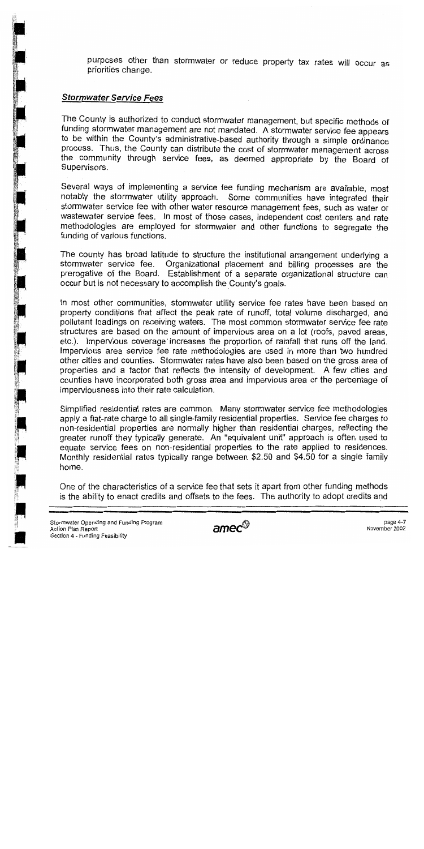purposes other than stormwater or reduce property tax rates will occur as priorities change.

# **Stormwater Service Fees**

The County is authorized to conduct stormwater management, but specific methods of funding stormwater management are not mandated. A stormwater service fee appears to be within the County's administrative-based authority through a simple ordinance process. Thus, the County can distribute the cost of stormwater management across the community through service fees, as deemed appropriate by the Board of Supervisors.

Several ways of implementing a service fee funding mechanism are available, most notably the stormwater utility approach. Some communities have integrated their stormwater service fee with other water resource management fees, such as water or wastewater service fees. In most of those cases, independent cost centers and rate methodologies are employed for stormwater and other functions to segregate the funding of various functions.

The county has broad latitude to structure the institutional arrangement underlying a stormwater service fee. Organizational placement and billing processes are the prerogative of the Board. Establishment of a separate organizational structure can occur but is not necessary to accomplish the County's goals.

In most other communities, stormwater utility service fee rates have been based on property conditions that affect the peak rate of runoff, total volume discharged, and pollutant loadings on receiving waters. The most common stormwater service fee rate structures are based on the amount of impervious area on a lot (roofs, paved areas, etc.). Impervious coverage increases the proportion of rainfall that runs off the land. Impervious area service fee rate methodologies are used in more than two hundred other cities and counties. Stormwater rates have also been based on the gross area of properties and a factor that reflects the intensity of development. A few cities and counties have incorporated both gross area and impervious area or the percentage of imperviousness into their rate calculation.

Simplified residential rates are common. Many stormwater service fee methodologies apply a flat-rate charge to all single-family residential properties. Service fee charges to non-residential properties are normally higher than residential charges, reflecting the greater runoff they typically generate. An "equivalent unit" approach is often used to equate service fees on non-residential properties to the rate applied to residences. Monthly residential rates typically range between \$2.50 and \$4.50 for a single family home.

One of the characteristics of a service fee that sets it apart from other funding methods is the ability to enact credits and offsets to the fees. The authority to adopt credits and

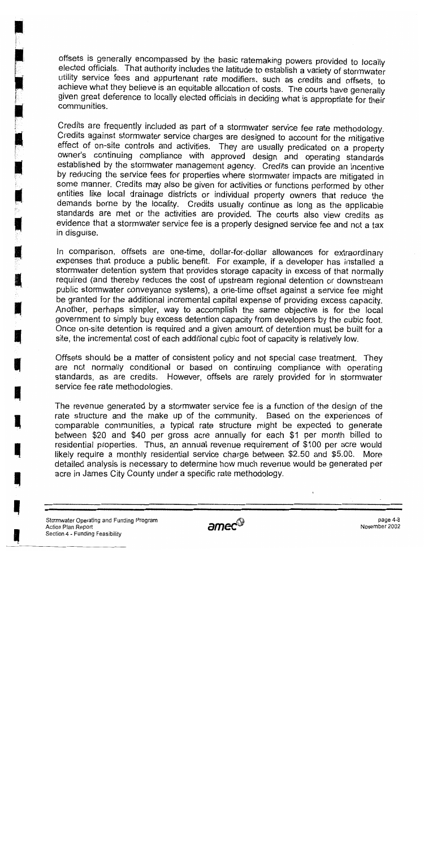offsets is generally encompassed by the basic ratemaking powers provided to locally elected officials. That authority includes the latitude to establish a variety of stormwater utility service fees and appurtenant rate modifiers, such as credits and offsets, to achieve what they believe is an equitable allocation of costs. The courts have generally given great deference to locally elected officials in deciding what is appropriate for their **communities** 

Credits are frequently included as part of a stormwater service fee rate methodology. Credits against stormwater service charges are designed to account for the mitigative effect of on-site controls and activities. They are usually predicated on a property owner's continuing compliance with approved design and operating standards established by the stormwater management agency. Credits can provide an incentive by reducing the service fees for properties where stormwater impacts are mitigated in some manner. Credits may also be given for activities or functions performed by other entities like local drainage districts or individual property owners that reduce the demands borne by the locality. Credits usually continue as long as the applicable standards are met or the activities are provided. The courts also view credits as evidence that a stormwater service fee is a properly designed service fee and not a tax in disguise.

In comparison, offsets are one-time, dollar-for-dollar allowances for extraordinary expenses that produce a public benefit. For example, if a developer has installed a stormwater detention system that provides storage capacity in excess of that normally required (and thereby reduces the cost of upstream regional detention or downstream public stormwater conveyance systems), a one-time offset against a service fee might be granted for the additional incremental capital expense of providing excess capacity. Another, perhaps simpler, way to accomplish the same objective is for the local government to simply buy excess detention capacity from developers by the cubic foot. Once on-site detention is required and a given amount of detention must be built for a site, the incremental cost of each additional cubic foot of capacity is relatively low.

Offsets should be a matter of consistent policy and not special case treatment. They are not normally conditional or based on continuing compliance with operating standards, as are credits. However, offsets are rarely provided for in stormwater service fee rate methodologies.

The revenue generated by a stormwater service fee is a function of the design of the rate structure and the make up of the community. Based on the experiences of comparable communities, a typical rate structure might be expected to generate between \$20 and \$40 per gross acre annually for each \$1 per month billed to residential properties. Thus, an annual revenue requirement of \$100 per acre would likely require a monthly residential service charge between \$2.50 and \$5.00. More detailed analysis is necessary to determine how much revenue would be generated per acre in James City County under a specific rate methodology.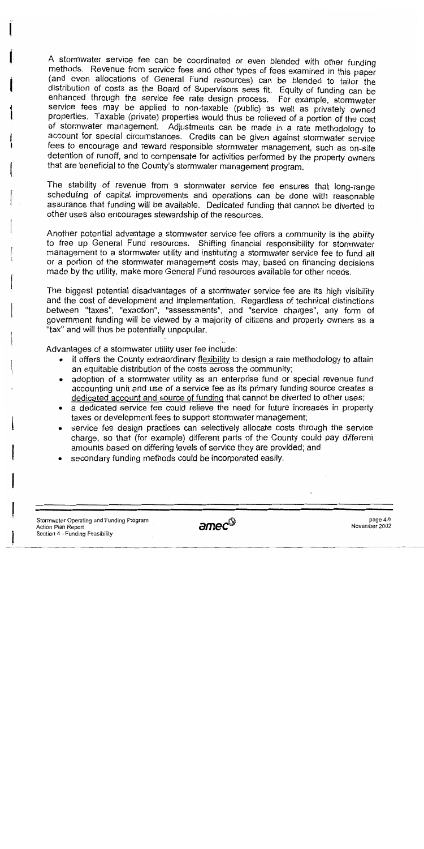A stormwater service fee can be coordinated or even blended with other funding methods. Revenue from service fees and other types of fees examined in this paper (and even allocations of General Fund resources) can be blended to tailor the distribution of costs as the Board of Supervisors sees fit. Equity of funding can be enhanced through the service fee rate design process. For example, stormwater service fees may be applied to non-taxable (public) as well as privately owned properties. Taxable (private) properties would thus be relieved of a portion of the cost of stormwater management. Adjustments can be made in a rate methodology to account for special circumstances. Credits can be given against stormwater service fees to encourage and reward responsible stormwater management, such as on-site detention of runoff, and to compensate for activities performed by the property owners that are beneficial to the County's stormwater management program.

The stability of revenue from a stormwater service fee ensures that long-range scheduling of capital improvements and operations can be done with reasonable assurance that funding will be available. Dedicated funding that cannot be diverted to other uses also encourages stewardship of the resources.

Another potential advantage a stormwater service fee offers a community is the ability to free up General Fund resources. Shifting financial responsibility for stormwater management to a stormwater utility and instituting a stormwater service fee to fund all or a portion of the stormwater management costs may, based on financing decisions made by the utility, make more General Fund resources available for other needs.

The biggest potential disadvantages of a stormwater service fee are its high visibility and the cost of development and implementation. Regardless of technical distinctions between "taxes", "exaction", "assessments", and "service charges", any form of government funding will be viewed by a majority of citizens and property owners as a "tax" and will thus be potentially unpopular.

Advantages of a stormwater utility user fee include:

- it offers the County extraordinary flexibility to design a rate methodology to attain an equitable distribution of the costs across the community;
- adoption of a stormwater utility as an enterprise fund or special revenue fund accounting unit and use of a service fee as its primary funding source creates a dedicated account and source of funding that cannot be diverted to other uses;
- a dedicated service fee could relieve the need for future increases in property taxes or development fees to support stormwater management;
- service fee design practices can selectively allocate costs through the service charge, so that (for example) different parts of the County could pay different amounts based on differing levels of service they are provided; and
- secondary funding methods could be incorporated easily.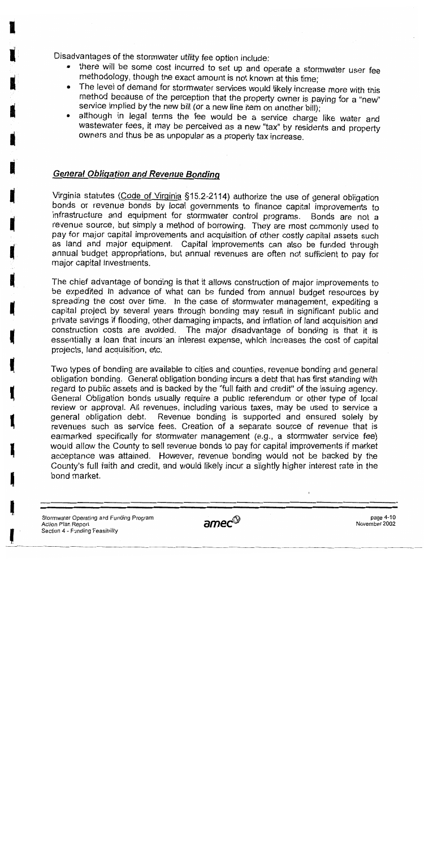Disadvantages of the stormwater utility fee option include:

- there will be some cost incurred to set up and operate a stormwater user fee methodology, though the exact amount is not known at this time:
- The level of demand for stormwater services would likely increase more with this  $\bullet$ method because of the perception that the property owner is paying for a "new" service implied by the new bill (or a new line item on another bill);
- although in legal terms the fee would be a service charge like water and  $\bullet$ wastewater fees, it may be perceived as a new "tax" by residents and property owners and thus be as unpopular as a property tax increase.

# **General Obligation and Revenue Bonding**

Virginia statutes (Code of Virginia §15.2-2114) authorize the use of general obligation bonds or revenue bonds by local governments to finance capital improvements to infrastructure and equipment for stormwater control programs. Bonds are not a revenue source, but simply a method of borrowing. They are most commonly used to pay for major capital improvements and acquisition of other costly capital assets such as land and major equipment. Capital improvements can also be funded through annual budget appropriations, but annual revenues are often not sufficient to pay for major capital investments.

The chief advantage of bonding is that it allows construction of major improvements to be expedited in advance of what can be funded from annual budget resources by spreading the cost over time. In the case of stormwater management, expediting a capital project by several years through bonding may result in significant public and private savings if flooding, other damaging impacts, and inflation of land acquisition and construction costs are avoided. The major disadvantage of bonding is that it is essentially a loan that incurs an interest expense, which increases the cost of capital projects, land acquisition, etc.

Two types of bonding are available to cities and counties, revenue bonding and general obligation bonding. General obligation bonding incurs a debt that has first standing with regard to public assets and is backed by the "full faith and credit" of the issuing agency. General Obligation bonds usually require a public referendum or other type of local review or approval. All revenues, including various taxes, may be used to service a Revenue bonding is supported and ensured solely by general obligation debt. revenues such as service fees. Creation of a separate source of revenue that is earmarked specifically for stormwater management (e.g., a stormwater service fee) would allow the County to sell revenue bonds to pay for capital improvements if market acceptance was attained. However, revenue bonding would not be backed by the County's full faith and credit, and would likely incur a slightly higher interest rate in the bond market

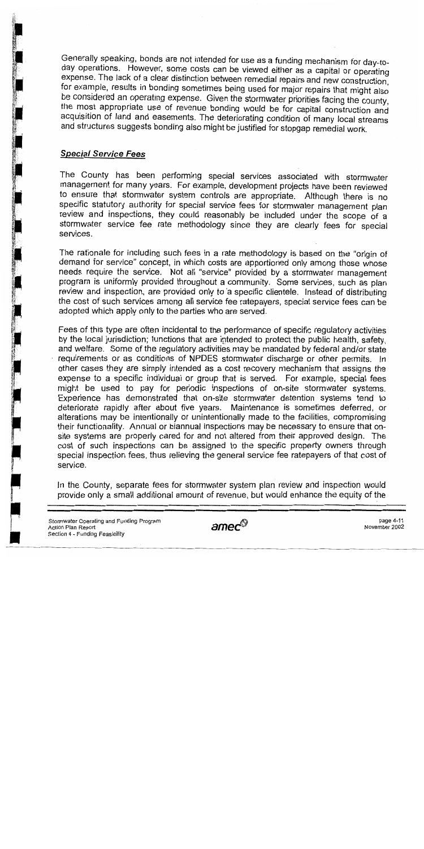Generally speaking, bonds are not intended for use as a funding mechanism for day-today operations. However, some costs can be viewed either as a capital or operating expense. The lack of a clear distinction between remedial repairs and new construction, for example, results in bonding sometimes being used for major repairs that might also be considered an operating expense. Given the stormwater priorities facing the county, the most appropriate use of revenue bonding would be for capital construction and acquisition of land and easements. The deteriorating condition of many local streams and structures suggests bonding also might be justified for stopgap remedial work.

#### **Special Service Fees**

The County has been performing special services associated with stormwater management for many years. For example, development projects have been reviewed to ensure that stormwater system controls are appropriate. Although there is no specific statutory authority for special service fees for stormwater management plan review and inspections, they could reasonably be included under the scope of a stormwater service fee rate methodology since they are clearly fees for special services.

The rationale for including such fees in a rate methodology is based on the "origin of demand for service" concept, in which costs are apportioned only among those whose needs require the service. Not all "service" provided by a stormwater management program is uniformly provided throughout a community. Some services, such as plan review and inspection, are provided only to a specific clientele. Instead of distributing the cost of such services among all service fee ratepayers, special service fees can be adopted which apply only to the parties who are served.

Fees of this type are often incidental to the performance of specific regulatory activities by the local jurisdiction; functions that are intended to protect the public health, safety, and welfare. Some of the regulatory activities may be mandated by federal and/or state requirements or as conditions of NPDES stormwater discharge or other permits. In other cases they are simply intended as a cost recovery mechanism that assigns the expense to a specific individual or group that is served. For example, special fees might be used to pay for periodic inspections of on-site stormwater systems. Experience has demonstrated that on-site stormwater detention systems tend to deteriorate rapidly after about five years. Maintenance is sometimes deferred, or alterations may be intentionally or unintentionally made to the facilities, compromising their functionality. Annual or biannual inspections may be necessary to ensure that onsite systems are properly cared for and not altered from their approved design. The cost of such inspections can be assigned to the specific property owners through special inspection fees, thus relieving the general service fee ratepayers of that cost of service.

In the County, separate fees for stormwater system plan review and inspection would provide only a small additional amount of revenue, but would enhance the equity of the

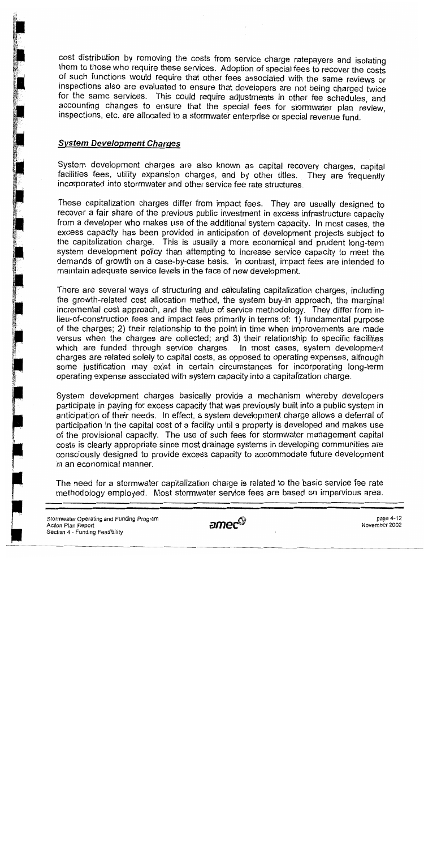cost distribution by removing the costs from service charge ratepayers and isolating them to those who require these services. Adoption of special fees to recover the costs of such functions would require that other fees associated with the same reviews or inspections also are evaluated to ensure that developers are not being charged twice for the same services. This could require adjustments in other fee schedules, and accounting changes to ensure that the special fees for stormwater plan review, inspections, etc. are allocated to a stormwater enterprise or special revenue fund.

## **System Development Charges**

System development charges are also known as capital recovery charges, capital facilities fees, utility expansion charges, and by other titles. They are frequently incorporated into stormwater and other service fee rate structures.

These capitalization charges differ from impact fees. They are usually designed to recover a fair share of the previous public investment in excess infrastructure capacity from a developer who makes use of the additional system capacity. In most cases, the excess capacity has been provided in anticipation of development projects subject to the capitalization charge. This is usually a more economical and prudent long-term system development policy than attempting to increase service capacity to meet the demands of growth on a case-by-case basis. In contrast, impact fees are intended to maintain adequate service levels in the face of new development.

There are several ways of structuring and calculating capitalization charges, including the growth-related cost allocation method, the system buy-in approach, the marginal incremental cost approach, and the value of service methodology. They differ from inlieu-of-construction fees and impact fees primarily in terms of: 1) fundamental purpose of the charges; 2) their relationship to the point in time when improvements are made versus when the charges are collected; and 3) their relationship to specific facilities which are funded through service charges. In most cases, system development charges are related solely to capital costs, as opposed to operating expenses, although some justification may exist in certain circumstances for incorporating long-term operating expense associated with system capacity into a capitalization charge.

System development charges basically provide a mechanism whereby developers participate in paying for excess capacity that was previously built into a public system in anticipation of their needs. In effect, a system development charge allows a deferral of participation in the capital cost of a facility until a property is developed and makes use of the provisional capacity. The use of such fees for stormwater management capital costs is clearly appropriate since most drainage systems in developing communities are consciously designed to provide excess capacity to accommodate future development in an economical manner.

The need for a stormwater capitalization charge is related to the basic service fee rate methodology employed. Most stormwater service fees are based on impervious area.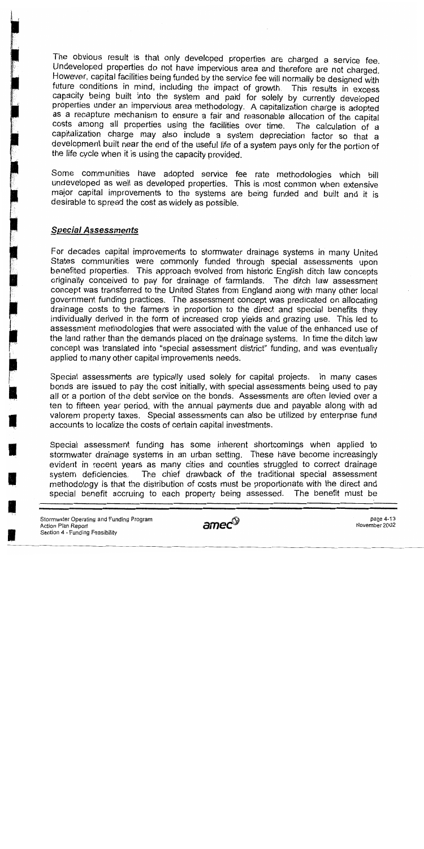The obvious result is that only developed properties are charged a service fee. Undeveloped properties do not have impervious area and therefore are not charged. However, capital facilities being funded by the service fee will normally be designed with future conditions in mind, including the impact of growth. This results in excess capacity being built into the system and paid for solely by currently developed properties under an impervious area methodology. A capitalization charge is adopted as a recapture mechanism to ensure a fair and reasonable allocation of the capital costs among all properties using the facilities over time. The calculation of a capitalization charge may also include a system depreciation factor so that a development built near the end of the useful life of a system pays only for the portion of the life cycle when it is using the capacity provided.

Some communities have adopted service fee rate methodologies which bill undeveloped as well as developed properties. This is most common when extensive major capital improvements to the systems are being funded and built and it is desirable to spread the cost as widely as possible.

## **Special Assessments**

For decades capital improvements to stormwater drainage systems in many United States communities were commonly funded through special assessments upon benefited properties. This approach evolved from historic English ditch law concepts originally conceived to pay for drainage of farmlands. The ditch law assessment concept was transferred to the United States from England along with many other local government funding practices. The assessment concept was predicated on allocating drainage costs to the farmers in proportion to the direct and special benefits they individually derived in the form of increased crop yields and grazing use. This led to assessment methodologies that were associated with the value of the enhanced use of the land rather than the demands placed on the drainage systems. In time the ditch law concept was translated into "special assessment district" funding, and was eventually applied to many other capital improvements needs.

Special assessments are typically used solely for capital projects. In many cases bonds are issued to pay the cost initially, with special assessments being used to pay all or a portion of the debt service on the bonds. Assessments are often levied over a ten to fifteen year period, with the annual payments due and payable along with ad valorem property taxes. Special assessments can also be utilized by enterprise fund accounts to localize the costs of certain capital investments.

Special assessment funding has some inherent shortcomings when applied to stormwater drainage systems in an urban setting. These have become increasingly evident in recent years as many cities and counties struggled to correct drainage system deficiencies. The chief drawback of the traditional special assessment methodology is that the distribution of costs must be proportionate with the direct and special benefit accruing to each property being assessed. The benefit must be

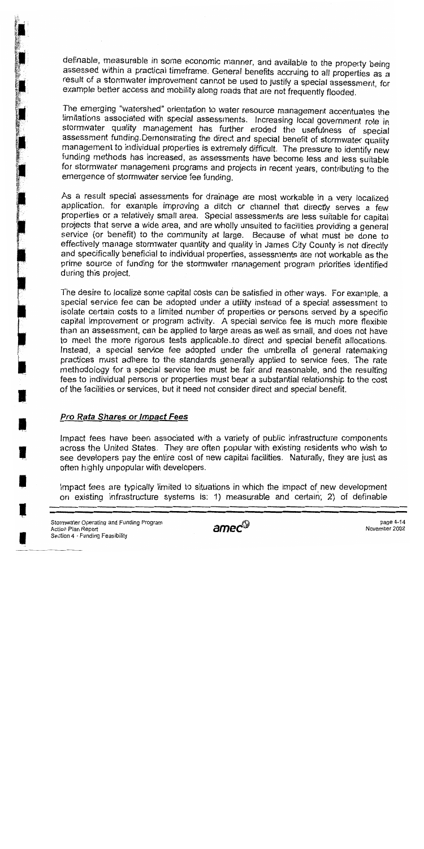definable, measurable in some economic manner, and available to the property being assessed within a practical timeframe. General benefits accruing to all properties as a result of a stormwater improvement cannot be used to justify a special assessment, for example better access and mobility along roads that are not frequently flooded.

The emerging "watershed" orientation to water resource management accentuates the limitations associated with special assessments. Increasing local government role in stormwater quality management has further eroded the usefulness of special assessment funding Demonstrating the direct and special benefit of stormwater quality management to individual properties is extremely difficult. The pressure to identify new funding methods has increased, as assessments have become less and less suitable for stormwater management programs and projects in recent years, contributing to the emergence of stormwater service fee funding.

As a result special assessments for drainage are most workable in a very localized application, for example improving a ditch or channel that directly serves a few properties or a relatively small area. Special assessments are less suitable for capital proiects that serve a wide area, and are wholly unsuited to facilities providing a general service (or benefit) to the community at large. Because of what must be done to effectively manage stormwater quantity and quality in James City County is not directly and specifically beneficial to individual properties, assessments are not workable as the prime source of funding for the stormwater management program priorities identified during this project.

The desire to localize some capital costs can be satisfied in other ways. For example, a special service fee can be adopted under a utility instead of a special assessment to isolate certain costs to a limited number of properties or persons served by a specific capital improvement or program activity. A special service fee is much more flexible than an assessment, can be applied to large areas as well as small, and does not have to meet the more rigorous tests applicable to direct and special benefit allocations. Instead, a special service fee adopted under the umbrella of general ratemaking practices must adhere to the standards generally applied to service fees. The rate methodology for a special service fee must be fair and reasonable, and the resulting fees to individual persons or properties must bear a substantial relationship to the cost of the facilities or services, but it need not consider direct and special benefit.

#### **Pro Rata Shares or Impact Fees**

Impact fees have been associated with a variety of public infrastructure components across the United States. They are often popular with existing residents who wish to see developers pay the entire cost of new capital facilities. Naturally, they are just as often highly unpopular with developers.

Impact fees are typically limited to situations in which the impact of new development on existing infrastructure systems is: 1) measurable and certain; 2) of definable

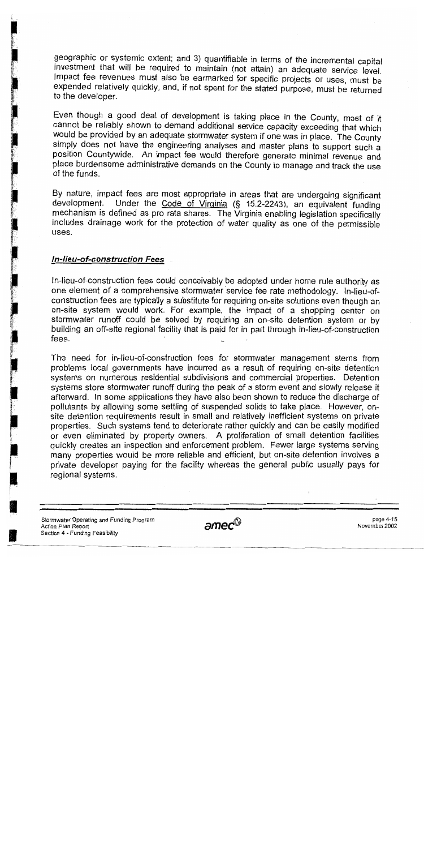geographic or systemic extent; and 3) quantifiable in terms of the incremental capital investment that will be required to maintain (not attain) an adequate service level. Impact fee revenues must also be earmarked for specific projects or uses, must be expended relatively quickly, and, if not spent for the stated purpose, must be returned to the developer.

Even though a good deal of development is taking place in the County, most of it cannot be reliably shown to demand additional service capacity exceeding that which would be provided by an adequate stormwater system if one was in place. The County simply does not have the engineering analyses and master plans to support such a position Countywide. An impact fee would therefore generate minimal revenue and place burdensome administrative demands on the County to manage and track the use of the funds.

By nature, impact fees are most appropriate in areas that are undergoing significant Under the Code of Virginia (§ 15.2-2243), an equivalent funding development. mechanism is defined as pro rata shares. The Virginia enabling legislation specifically includes drainage work for the protection of water quality as one of the permissible uses.

#### **In-lieu-of-construction Fees**

In-lieu-of-construction fees could conceivably be adopted under home rule authority as one element of a comprehensive stormwater service fee rate methodology. In-lieu-ofconstruction fees are typically a substitute for requiring on-site solutions even though an on-site system would work. For example, the impact of a shopping center on stormwater runoff could be solved by requiring an on-site detention system or by building an off-site regional facility that is paid for in part through in-lieu-of-construction fees.

The need for in-lieu-of-construction fees for stormwater management stems from problems local governments have incurred as a result of requiring on-site detention systems on numerous residential subdivisions and commercial properties. Detention systems store stormwater runoff during the peak of a storm event and slowly release it afterward. In some applications they have also been shown to reduce the discharge of pollutants by allowing some settling of suspended solids to take place. However, onsite detention requirements result in small and relatively inefficient systems on private properties. Such systems tend to deteriorate rather quickly and can be easily modified or even eliminated by property owners. A proliferation of small detention facilities quickly creates an inspection and enforcement problem. Fewer large systems serving many properties would be more reliable and efficient, but on-site detention involves a private developer paying for the facility whereas the general public usually pays for regional systems.

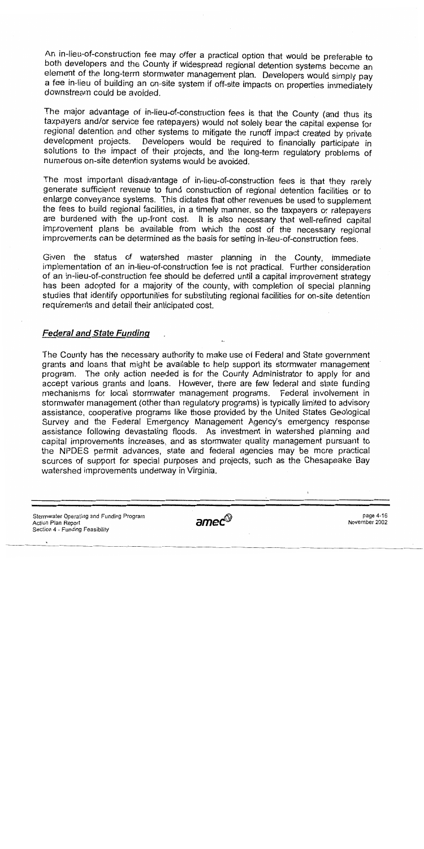An in-lieu-of-construction fee may offer a practical option that would be preferable to both developers and the County if widespread regional detention systems become an element of the long-term stormwater management plan. Developers would simply pay a fee in-lieu of building an on-site system if off-site impacts on properties immediately downstream could be avoided.

The major advantage of in-lieu-of-construction fees is that the County (and thus its taxpayers and/or service fee ratepayers) would not solely bear the capital expense for regional detention and other systems to mitigate the runoff impact created by private Developers would be required to financially participate in development projects. solutions to the impact of their projects, and the long-term regulatory problems of numerous on-site detention systems would be avoided.

The most important disadvantage of in-lieu-of-construction fees is that they rarely generate sufficient revenue to fund construction of regional detention facilities or to enlarge convevance systems. This dictates that other revenues be used to supplement the fees to build regional facilities, in a timely manner, so the taxpayers or ratepayers are burdened with the up-front cost. It is also necessary that well-refined capital improvement plans be available from which the cost of the necessary regional improvements can be determined as the basis for setting in-lieu-of-construction fees.

Given the status of watershed master planning in the County, immediate implementation of an in-lieu-of-construction fee is not practical. Further consideration of an in-lieu-of-construction fee should be deferred until a capital improvement strategy has been adopted for a majority of the county, with completion of special planning studies that identify opportunities for substituting regional facilities for on-site detention requirements and detail their anticipated cost.

# **Federal and State Funding**

The County has the necessary authority to make use of Federal and State government grants and loans that might be available to help support its stormwater management program. The only action needed is for the County Administrator to apply for and accept various grants and loans. However, there are few federal and state funding mechanisms for local stormwater management programs. Federal involvement in stormwater management (other than regulatory programs) is typically limited to advisory assistance, cooperative programs like those provided by the United States Geological Survey and the Federal Emergency Management Agency's emergency response assistance following devastating floods. As investment in watershed planning and capital improvements increases, and as stormwater quality management pursuant to the NPDES permit advances, state and federal agencies may be more practical sources of support for special purposes and projects, such as the Chesapeake Bay watershed improvements underway in Virginia.

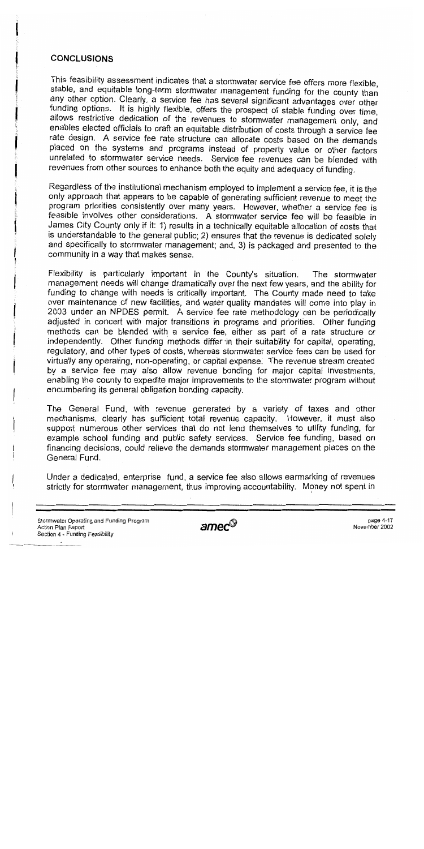# **CONCLUSIONS**

This feasibility assessment indicates that a stormwater service fee offers more flexible. stable, and equitable long-term stormwater management funding for the county than any other option. Clearly, a service fee has several significant advantages over other funding options. It is highly flexible, offers the prospect of stable funding over time, allows restrictive dedication of the revenues to stormwater management only, and enables elected officials to craft an equitable distribution of costs through a service fee rate design. A service fee rate structure can allocate costs based on the demands placed on the systems and programs instead of property value or other factors unrelated to stormwater service needs. Service fee revenues can be blended with revenues from other sources to enhance both the equity and adequacy of funding.

Regardless of the institutional mechanism employed to implement a service fee, it is the only approach that appears to be capable of generating sufficient revenue to meet the program priorities consistently over many years. However, whether a service fee is feasible involves other considerations. A stormwater service fee will be feasible in James City County only if it: 1) results in a technically equitable allocation of costs that is understandable to the general public; 2) ensures that the revenue is dedicated solely and specifically to stormwater management; and, 3) is packaged and presented to the community in a way that makes sense.

Flexibility is particularly important in the County's situation. The stormwater management needs will change dramatically over the next few years, and the ability for funding to change with needs is critically important. The County made need to take over maintenance of new facilities, and water quality mandates will come into play in 2003 under an NPDES permit. A service fee rate methodology can be periodically adjusted in concert with major transitions in programs and priorities. Other funding methods can be blended with a service fee, either as part of a rate structure or independently. Other funding methods differ in their suitability for capital, operating. regulatory, and other types of costs, whereas stormwater service fees can be used for virtually any operating, non-operating, or capital expense. The revenue stream created by a service fee may also allow revenue bonding for major capital investments, enabling the county to expedite major improvements to the stormwater program without encumbering its general obligation bonding capacity.

The General Fund, with revenue generated by a variety of taxes and other mechanisms, clearly has sufficient total revenue capacity. However, it must also support numerous other services that do not lend themselves to utility funding, for example school funding and public safety services. Service fee funding, based on financing decisions, could relieve the demands stormwater management places on the General Fund

Under a dedicated, enterprise fund, a service fee also allows earmarking of revenues strictly for stormwater management, thus improving accountability. Money not spent in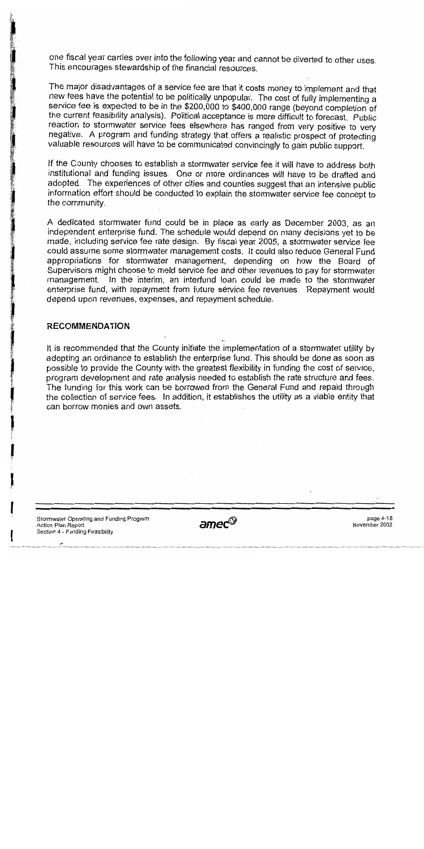one fiscal year carries over into the following year and cannot be diverted to other uses. This encourages stewardship of the financial resources.

The major disadvantages of a service fee are that it costs money to implement and that new fees have the potential to be politically unpopular. The cost of fully implementing a service fee is expected to be in the \$200,000 to \$400,000 range (beyond completion of the current feasibility analysis). Political acceptance is more difficult to forecast. Public reaction to stormwater service fees elsewhere has ranged from very positive to very negative. A program and funding strategy that offers a realistic prospect of protecting valuable resources will have to be communicated convincingly to gain public support.

If the County chooses to establish a stormwater service fee it will have to address both institutional and funding issues. One or more ordinances will have to be drafted and adopted. The experiences of other cities and counties suggest that an intensive public information effort should be conducted to explain the stormwater service fee concept to the community.

A dedicated stormwater fund could be in place as early as December 2003, as an independent enterprise fund. The schedule would depend on many decisions yet to be made, including service fee rate design. By fiscal year 2005, a stormwater service fee could assume some stormwater management costs. It could also reduce General Fund appropriations for stormwater management, depending on how the Board of Supervisors might choose to meld service fee and other revenues to pay for stormwater management. In the interim, an interfund loan could be made to the stormwater enterprise fund, with repayment from future service fee revenues. Repayment would depend upon revenues, expenses, and repayment schedule.

#### **RECOMMENDATION**

It is recommended that the County initiate the implementation of a stormwater utility by adopting an ordinance to establish the enterprise fund. This should be done as soon as possible to provide the County with the greatest flexibility in funding the cost of service. program development and rate analysis needed to establish the rate structure and fees. The funding for this work can be borrowed from the General Fund and repaid through the collection of service fees. In addition, it establishes the utility as a viable entity that can borrow monies and own assets.